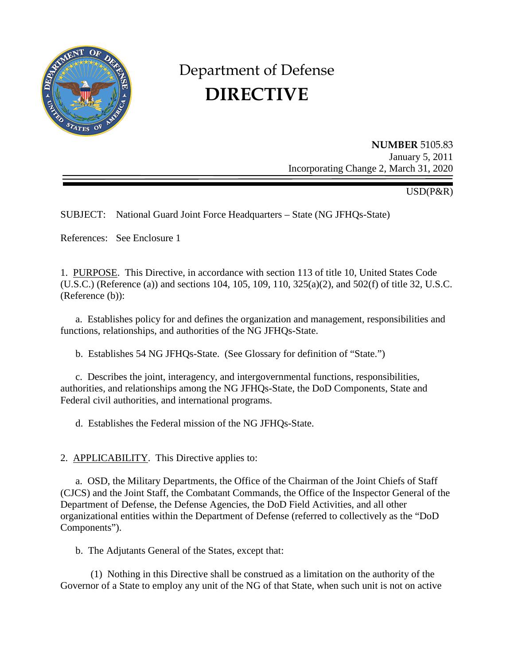

# Department of Defense **DIRECTIVE**

**NUMBER** 5105.83 January 5, 2011 Incorporating Change 2, March 31, 2020

USD(P&R)

SUBJECT: National Guard Joint Force Headquarters – State (NG JFHQs-State)

References: See Enclosure 1

1. PURPOSE. This Directive, in accordance with section 113 of title 10, United States Code (U.S.C.) (Reference (a)) and sections 104, 105, 109, 110, 325(a)(2), and 502(f) of title 32, U.S.C. (Reference (b)):

a. Establishes policy for and defines the organization and management, responsibilities and functions, relationships, and authorities of the NG JFHQs-State.

b. Establishes 54 NG JFHQs-State. (See Glossary for definition of "State.")

 c. Describes the joint, interagency, and intergovernmental functions, responsibilities, authorities, and relationships among the NG JFHQs-State, the DoD Components, State and Federal civil authorities, and international programs.

d. Establishes the Federal mission of the NG JFHQs-State.

2. APPLICABILITY. This Directive applies to:

a. OSD, the Military Departments, the Office of the Chairman of the Joint Chiefs of Staff (CJCS) and the Joint Staff, the Combatant Commands, the Office of the Inspector General of the Department of Defense, the Defense Agencies, the DoD Field Activities, and all other organizational entities within the Department of Defense (referred to collectively as the "DoD Components").

b. The Adjutants General of the States, except that:

 (1) Nothing in this Directive shall be construed as a limitation on the authority of the Governor of a State to employ any unit of the NG of that State, when such unit is not on active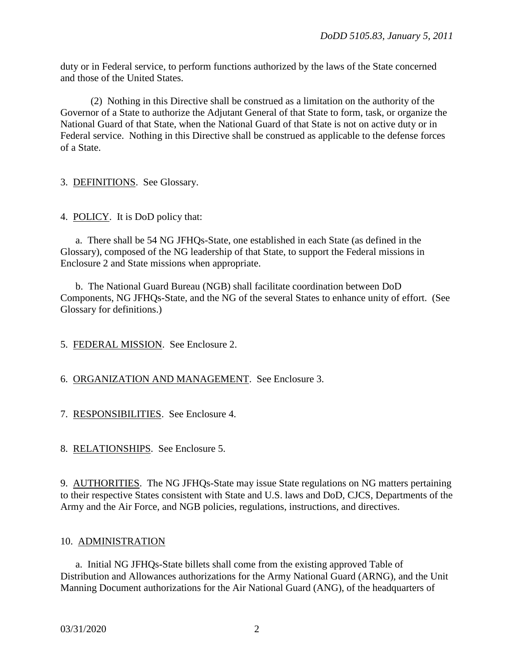duty or in Federal service, to perform functions authorized by the laws of the State concerned and those of the United States.

 (2) Nothing in this Directive shall be construed as a limitation on the authority of the Governor of a State to authorize the Adjutant General of that State to form, task, or organize the National Guard of that State, when the National Guard of that State is not on active duty or in Federal service. Nothing in this Directive shall be construed as applicable to the defense forces of a State.

3. DEFINITIONS. See Glossary.

4. POLICY. It is DoD policy that:

a. There shall be 54 NG JFHQs-State, one established in each State (as defined in the Glossary), composed of the NG leadership of that State, to support the Federal missions in Enclosure 2 and State missions when appropriate.

 b. The National Guard Bureau (NGB) shall facilitate coordination between DoD Components, NG JFHQs-State, and the NG of the several States to enhance unity of effort. (See Glossary for definitions.)

# 5. FEDERAL MISSION. See Enclosure 2.

# 6. ORGANIZATION AND MANAGEMENT. See Enclosure 3.

7. RESPONSIBILITIES. See Enclosure 4.

8. RELATIONSHIPS. See Enclosure 5.

9. AUTHORITIES. The NG JFHQs-State may issue State regulations on NG matters pertaining to their respective States consistent with State and U.S. laws and DoD, CJCS, Departments of the Army and the Air Force, and NGB policies, regulations, instructions, and directives.

## 10. ADMINISTRATION

a. Initial NG JFHQs-State billets shall come from the existing approved Table of Distribution and Allowances authorizations for the Army National Guard (ARNG), and the Unit Manning Document authorizations for the Air National Guard (ANG), of the headquarters of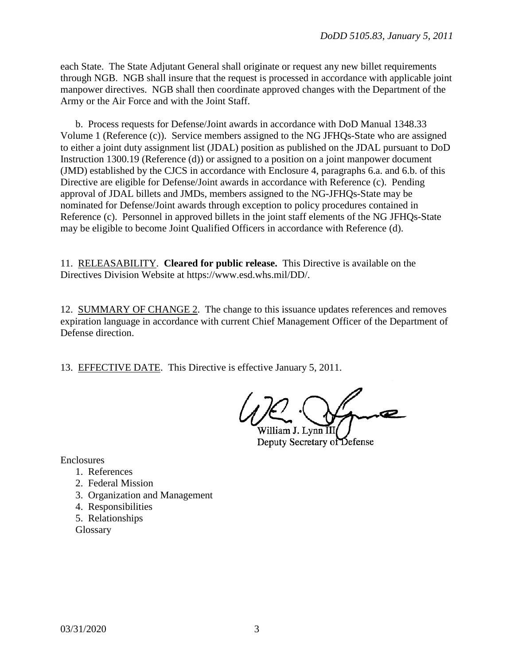each State. The State Adjutant General shall originate or request any new billet requirements through NGB. NGB shall insure that the request is processed in accordance with applicable joint manpower directives. NGB shall then coordinate approved changes with the Department of the Army or the Air Force and with the Joint Staff.

 b. Process requests for Defense/Joint awards in accordance with DoD Manual 1348.33 Volume 1 (Reference (c)). Service members assigned to the NG JFHQs-State who are assigned to either a joint duty assignment list (JDAL) position as published on the JDAL pursuant to DoD Instruction 1300.19 (Reference (d)) or assigned to a position on a joint manpower document (JMD) established by the CJCS in accordance with Enclosure 4, paragraphs 6.a. and 6.b. of this Directive are eligible for Defense/Joint awards in accordance with Reference (c). Pending approval of JDAL billets and JMDs, members assigned to the NG-JFHQs-State may be nominated for Defense/Joint awards through exception to policy procedures contained in Reference (c). Personnel in approved billets in the joint staff elements of the NG JFHQs-State may be eligible to become Joint Qualified Officers in accordance with Reference (d).

11. RELEASABILITY. **Cleared for public release.**This Directive is available on the Directives Division Website at https://www.esd.whs.mil/DD/.

12. SUMMARY OF CHANGE 2. The change to this issuance updates references and removes expiration language in accordance with current Chief Management Officer of the Department of Defense direction.

13. EFFECTIVE DATE. This Directive is effective January 5, 2011.

William J. Lynn III Deputy Secretary of Defense

Enclosures

- 1. References
- 2. Federal Mission
- 3. Organization and Management
- 4. Responsibilities
- 5. Relationships

**Glossary**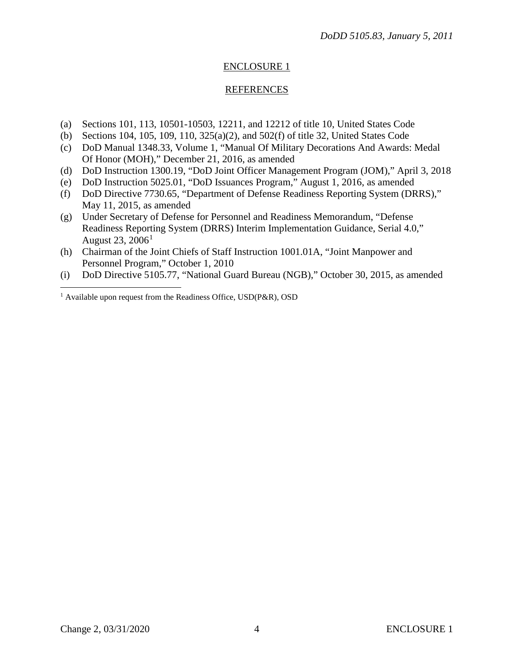#### **REFERENCES**

- (a) Sections 101, 113, 10501-10503, 12211, and 12212 of title 10, United States Code
- (b) Sections 104, 105, 109, 110, 325(a)(2), and 502(f) of title 32, United States Code
- (c) DoD Manual 1348.33, Volume 1, "Manual Of Military Decorations And Awards: Medal Of Honor (MOH)," December 21, 2016, as amended
- (d) DoD Instruction 1300.19, "DoD Joint Officer Management Program (JOM)," April 3, 2018
- (e) DoD Instruction 5025.01, "DoD Issuances Program," August 1, 2016, as amended
- (f) DoD Directive 7730.65, "Department of Defense Readiness Reporting System (DRRS)," May 11, 2015, as amended
- (g) Under Secretary of Defense for Personnel and Readiness Memorandum, "Defense Readiness Reporting System (DRRS) Interim Implementation Guidance, Serial 4.0," August 23,  $2006<sup>1</sup>$  $2006<sup>1</sup>$  $2006<sup>1</sup>$
- (h) Chairman of the Joint Chiefs of Staff Instruction 1001.01A, "Joint Manpower and Personnel Program," October 1, 2010
- (i) DoD Directive 5105.77, "National Guard Bureau (NGB)," October 30, 2015, as amended

 $\overline{a}$ 

<span id="page-3-0"></span><sup>&</sup>lt;sup>1</sup> Available upon request from the Readiness Office, USD(P&R), OSD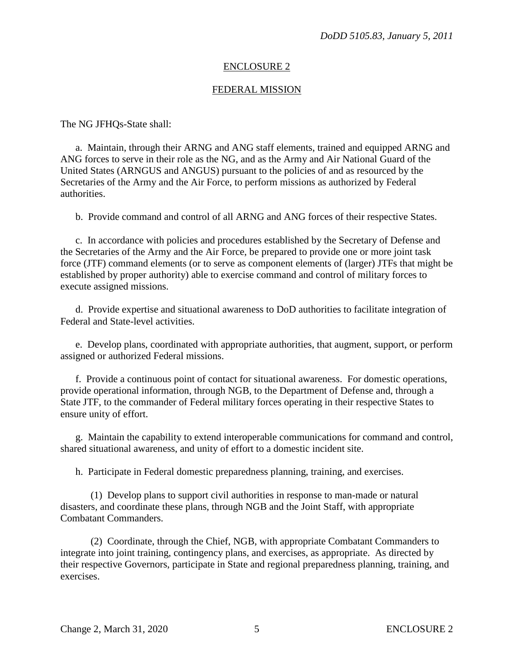#### FEDERAL MISSION

The NG JFHQs-State shall:

a. Maintain, through their ARNG and ANG staff elements, trained and equipped ARNG and ANG forces to serve in their role as the NG, and as the Army and Air National Guard of the United States (ARNGUS and ANGUS) pursuant to the policies of and as resourced by the Secretaries of the Army and the Air Force, to perform missions as authorized by Federal authorities.

b. Provide command and control of all ARNG and ANG forces of their respective States.

c. In accordance with policies and procedures established by the Secretary of Defense and the Secretaries of the Army and the Air Force, be prepared to provide one or more joint task force (JTF) command elements (or to serve as component elements of (larger) JTFs that might be established by proper authority) able to exercise command and control of military forces to execute assigned missions.

 d. Provide expertise and situational awareness to DoD authorities to facilitate integration of Federal and State-level activities.

 e. Develop plans, coordinated with appropriate authorities, that augment, support, or perform assigned or authorized Federal missions.

 f. Provide a continuous point of contact for situational awareness. For domestic operations, provide operational information, through NGB, to the Department of Defense and, through a State JTF, to the commander of Federal military forces operating in their respective States to ensure unity of effort.

 g. Maintain the capability to extend interoperable communications for command and control, shared situational awareness, and unity of effort to a domestic incident site.

h. Participate in Federal domestic preparedness planning, training, and exercises.

 (1) Develop plans to support civil authorities in response to man-made or natural disasters, and coordinate these plans, through NGB and the Joint Staff, with appropriate Combatant Commanders.

 (2) Coordinate, through the Chief, NGB, with appropriate Combatant Commanders to integrate into joint training, contingency plans, and exercises, as appropriate. As directed by their respective Governors, participate in State and regional preparedness planning, training, and exercises.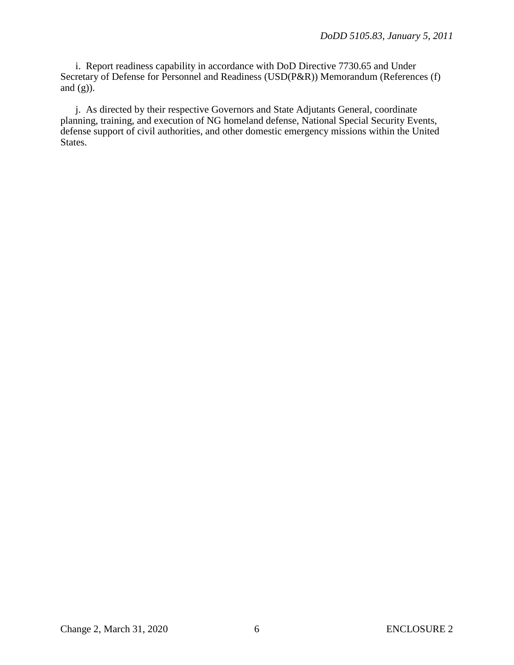i. Report readiness capability in accordance with DoD Directive 7730.65 and Under Secretary of Defense for Personnel and Readiness (USD(P&R)) Memorandum (References (f) and  $(g)$ ).

 j. As directed by their respective Governors and State Adjutants General, coordinate planning, training, and execution of NG homeland defense, National Special Security Events, defense support of civil authorities, and other domestic emergency missions within the United States.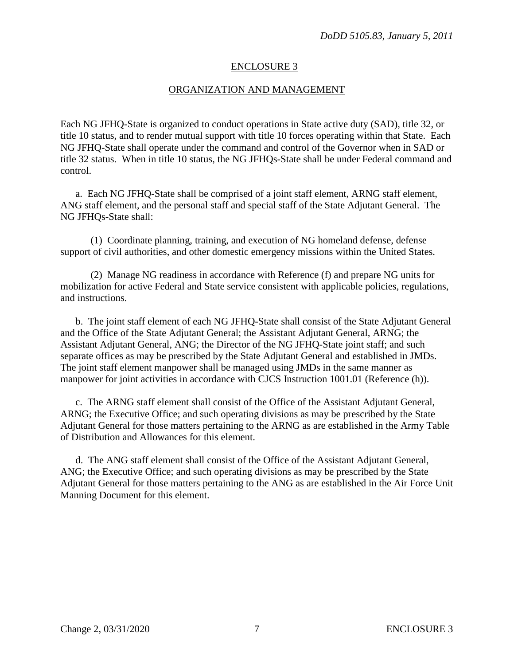#### ORGANIZATION AND MANAGEMENT

Each NG JFHQ-State is organized to conduct operations in State active duty (SAD), title 32, or title 10 status, and to render mutual support with title 10 forces operating within that State. Each NG JFHQ-State shall operate under the command and control of the Governor when in SAD or title 32 status. When in title 10 status, the NG JFHQs-State shall be under Federal command and control.

a. Each NG JFHQ-State shall be comprised of a joint staff element, ARNG staff element, ANG staff element, and the personal staff and special staff of the State Adjutant General. The NG JFHQs-State shall:

 (1) Coordinate planning, training, and execution of NG homeland defense, defense support of civil authorities, and other domestic emergency missions within the United States.

 (2) Manage NG readiness in accordance with Reference (f) and prepare NG units for mobilization for active Federal and State service consistent with applicable policies, regulations, and instructions.

b. The joint staff element of each NG JFHQ-State shall consist of the State Adjutant General and the Office of the State Adjutant General; the Assistant Adjutant General, ARNG; the Assistant Adjutant General, ANG; the Director of the NG JFHQ-State joint staff; and such separate offices as may be prescribed by the State Adjutant General and established in JMDs. The joint staff element manpower shall be managed using JMDs in the same manner as manpower for joint activities in accordance with CJCS Instruction 1001.01 (Reference (h)).

c. The ARNG staff element shall consist of the Office of the Assistant Adjutant General, ARNG; the Executive Office; and such operating divisions as may be prescribed by the State Adjutant General for those matters pertaining to the ARNG as are established in the Army Table of Distribution and Allowances for this element.

d. The ANG staff element shall consist of the Office of the Assistant Adjutant General, ANG; the Executive Office; and such operating divisions as may be prescribed by the State Adjutant General for those matters pertaining to the ANG as are established in the Air Force Unit Manning Document for this element.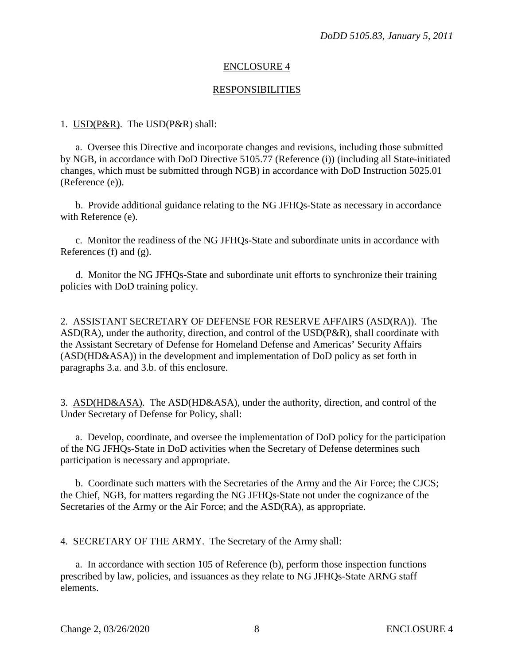#### RESPONSIBILITIES

#### 1. USD(P&R). The USD(P&R) shall:

a. Oversee this Directive and incorporate changes and revisions, including those submitted by NGB, in accordance with DoD Directive 5105.77 (Reference (i)) (including all State-initiated changes, which must be submitted through NGB) in accordance with DoD Instruction 5025.01 (Reference (e)).

 b. Provide additional guidance relating to the NG JFHQs-State as necessary in accordance with Reference (e).

 c. Monitor the readiness of the NG JFHQs-State and subordinate units in accordance with References (f) and (g).

 d. Monitor the NG JFHQs-State and subordinate unit efforts to synchronize their training policies with DoD training policy.

2. ASSISTANT SECRETARY OF DEFENSE FOR RESERVE AFFAIRS (ASD(RA)). The ASD(RA), under the authority, direction, and control of the USD(P&R), shall coordinate with the Assistant Secretary of Defense for Homeland Defense and Americas' Security Affairs (ASD(HD&ASA)) in the development and implementation of DoD policy as set forth in paragraphs 3.a. and 3.b. of this enclosure.

3. ASD(HD&ASA). The ASD(HD&ASA), under the authority, direction, and control of the Under Secretary of Defense for Policy, shall:

a. Develop, coordinate, and oversee the implementation of DoD policy for the participation of the NG JFHQs-State in DoD activities when the Secretary of Defense determines such participation is necessary and appropriate.

 b. Coordinate such matters with the Secretaries of the Army and the Air Force; the CJCS; the Chief, NGB, for matters regarding the NG JFHQs-State not under the cognizance of the Secretaries of the Army or the Air Force; and the ASD(RA), as appropriate.

4. SECRETARY OF THE ARMY. The Secretary of the Army shall:

a. In accordance with section 105 of Reference (b), perform those inspection functions prescribed by law, policies, and issuances as they relate to NG JFHQs-State ARNG staff elements.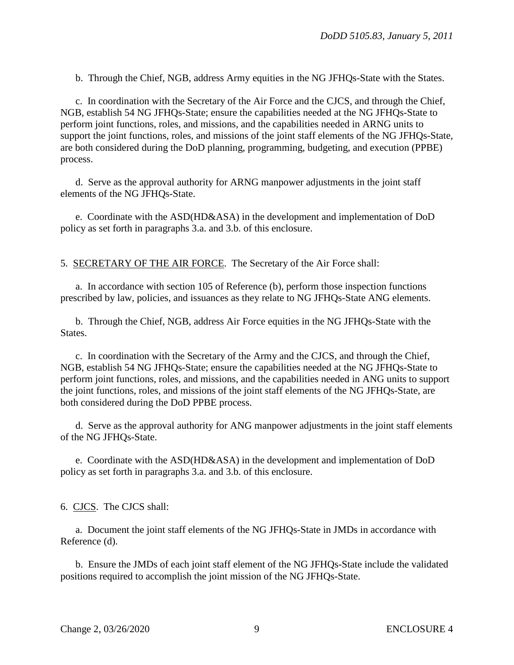b. Through the Chief, NGB, address Army equities in the NG JFHQs-State with the States.

c. In coordination with the Secretary of the Air Force and the CJCS, and through the Chief, NGB, establish 54 NG JFHQs-State; ensure the capabilities needed at the NG JFHQs-State to perform joint functions, roles, and missions, and the capabilities needed in ARNG units to support the joint functions, roles, and missions of the joint staff elements of the NG JFHQs-State, are both considered during the DoD planning, programming, budgeting, and execution (PPBE) process.

d. Serve as the approval authority for ARNG manpower adjustments in the joint staff elements of the NG JFHQs-State.

e. Coordinate with the ASD(HD&ASA) in the development and implementation of DoD policy as set forth in paragraphs 3.a. and 3.b. of this enclosure.

5. SECRETARY OF THE AIR FORCE. The Secretary of the Air Force shall:

a. In accordance with section 105 of Reference (b), perform those inspection functions prescribed by law, policies, and issuances as they relate to NG JFHQs-State ANG elements.

b. Through the Chief, NGB, address Air Force equities in the NG JFHQs-State with the States.

c. In coordination with the Secretary of the Army and the CJCS, and through the Chief, NGB, establish 54 NG JFHQs-State; ensure the capabilities needed at the NG JFHQs-State to perform joint functions, roles, and missions, and the capabilities needed in ANG units to support the joint functions, roles, and missions of the joint staff elements of the NG JFHQs-State, are both considered during the DoD PPBE process.

d. Serve as the approval authority for ANG manpower adjustments in the joint staff elements of the NG JFHQs-State.

e. Coordinate with the ASD(HD&ASA) in the development and implementation of DoD policy as set forth in paragraphs 3.a. and 3.b. of this enclosure.

6. CJCS. The CJCS shall:

a. Document the joint staff elements of the NG JFHQs-State in JMDs in accordance with Reference (d).

b. Ensure the JMDs of each joint staff element of the NG JFHQs-State include the validated positions required to accomplish the joint mission of the NG JFHQs-State.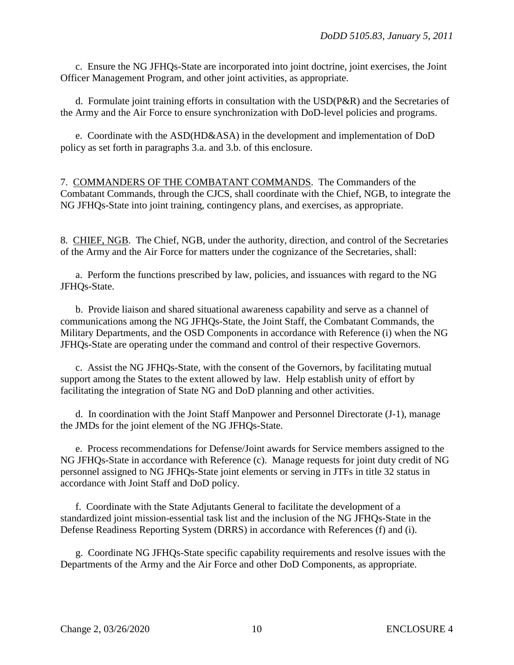c. Ensure the NG JFHQs-State are incorporated into joint doctrine, joint exercises, the Joint Officer Management Program, and other joint activities, as appropriate.

d. Formulate joint training efforts in consultation with the USD(P&R) and the Secretaries of the Army and the Air Force to ensure synchronization with DoD-level policies and programs.

e. Coordinate with the ASD(HD&ASA) in the development and implementation of DoD policy as set forth in paragraphs 3.a. and 3.b. of this enclosure.

7. COMMANDERS OF THE COMBATANT COMMANDS. The Commanders of the Combatant Commands, through the CJCS, shall coordinate with the Chief, NGB, to integrate the NG JFHQs-State into joint training, contingency plans, and exercises, as appropriate.

8. CHIEF, NGB. The Chief, NGB, under the authority, direction, and control of the Secretaries of the Army and the Air Force for matters under the cognizance of the Secretaries, shall:

a. Perform the functions prescribed by law, policies, and issuances with regard to the NG JFHQs-State.

b. Provide liaison and shared situational awareness capability and serve as a channel of communications among the NG JFHQs-State, the Joint Staff, the Combatant Commands, the Military Departments, and the OSD Components in accordance with Reference (i) when the NG JFHQs-State are operating under the command and control of their respective Governors.

c. Assist the NG JFHQs-State, with the consent of the Governors, by facilitating mutual support among the States to the extent allowed by law. Help establish unity of effort by facilitating the integration of State NG and DoD planning and other activities.

d. In coordination with the Joint Staff Manpower and Personnel Directorate (J-1), manage the JMDs for the joint element of the NG JFHQs-State.

e. Process recommendations for Defense/Joint awards for Service members assigned to the NG JFHQs-State in accordance with Reference (c). Manage requests for joint duty credit of NG personnel assigned to NG JFHQs-State joint elements or serving in JTFs in title 32 status in accordance with Joint Staff and DoD policy.

f. Coordinate with the State Adjutants General to facilitate the development of a standardized joint mission-essential task list and the inclusion of the NG JFHQs-State in the Defense Readiness Reporting System (DRRS) in accordance with References (f) and (i).

g. Coordinate NG JFHQs-State specific capability requirements and resolve issues with the Departments of the Army and the Air Force and other DoD Components, as appropriate.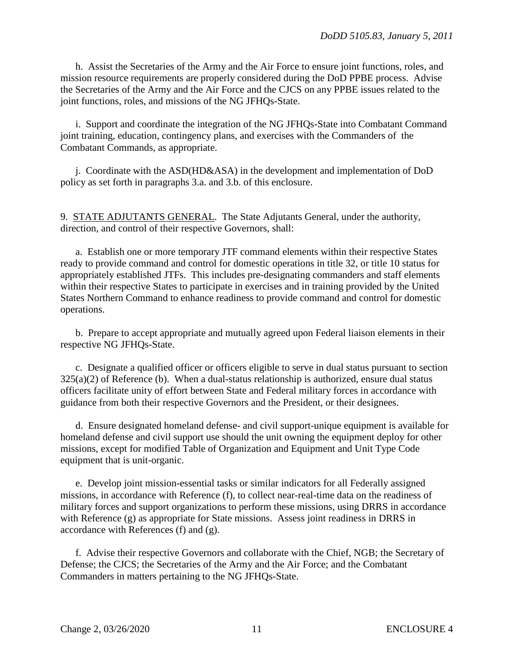h. Assist the Secretaries of the Army and the Air Force to ensure joint functions, roles, and mission resource requirements are properly considered during the DoD PPBE process. Advise the Secretaries of the Army and the Air Force and the CJCS on any PPBE issues related to the joint functions, roles, and missions of the NG JFHQs-State.

i. Support and coordinate the integration of the NG JFHQs-State into Combatant Command joint training, education, contingency plans, and exercises with the Commanders of the Combatant Commands, as appropriate.

j. Coordinate with the ASD(HD&ASA) in the development and implementation of DoD policy as set forth in paragraphs 3.a. and 3.b. of this enclosure.

9. STATE ADJUTANTS GENERAL. The State Adjutants General, under the authority, direction, and control of their respective Governors, shall:

a. Establish one or more temporary JTF command elements within their respective States ready to provide command and control for domestic operations in title 32, or title 10 status for appropriately established JTFs. This includes pre-designating commanders and staff elements within their respective States to participate in exercises and in training provided by the United States Northern Command to enhance readiness to provide command and control for domestic operations.

b. Prepare to accept appropriate and mutually agreed upon Federal liaison elements in their respective NG JFHQs-State.

c. Designate a qualified officer or officers eligible to serve in dual status pursuant to section  $325(a)(2)$  of Reference (b). When a dual-status relationship is authorized, ensure dual status officers facilitate unity of effort between State and Federal military forces in accordance with guidance from both their respective Governors and the President, or their designees.

d. Ensure designated homeland defense- and civil support-unique equipment is available for homeland defense and civil support use should the unit owning the equipment deploy for other missions, except for modified Table of Organization and Equipment and Unit Type Code equipment that is unit-organic.

e. Develop joint mission-essential tasks or similar indicators for all Federally assigned missions, in accordance with Reference (f), to collect near-real-time data on the readiness of military forces and support organizations to perform these missions, using DRRS in accordance with Reference (g) as appropriate for State missions. Assess joint readiness in DRRS in accordance with References (f) and (g).

f. Advise their respective Governors and collaborate with the Chief, NGB; the Secretary of Defense; the CJCS; the Secretaries of the Army and the Air Force; and the Combatant Commanders in matters pertaining to the NG JFHQs-State.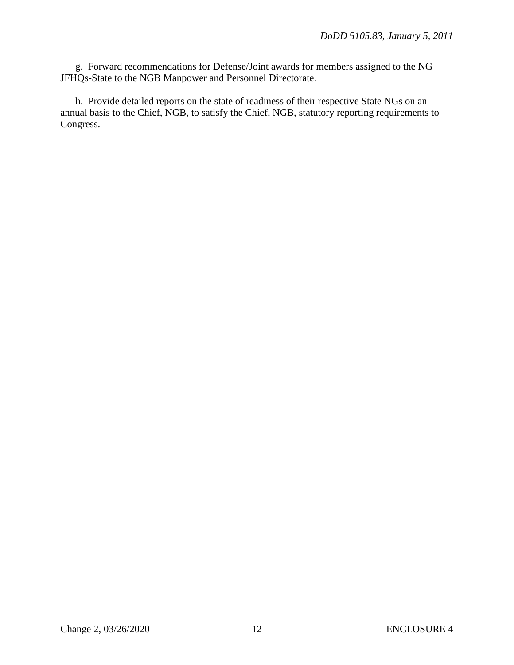g. Forward recommendations for Defense/Joint awards for members assigned to the NG JFHQs-State to the NGB Manpower and Personnel Directorate.

h. Provide detailed reports on the state of readiness of their respective State NGs on an annual basis to the Chief, NGB, to satisfy the Chief, NGB, statutory reporting requirements to Congress.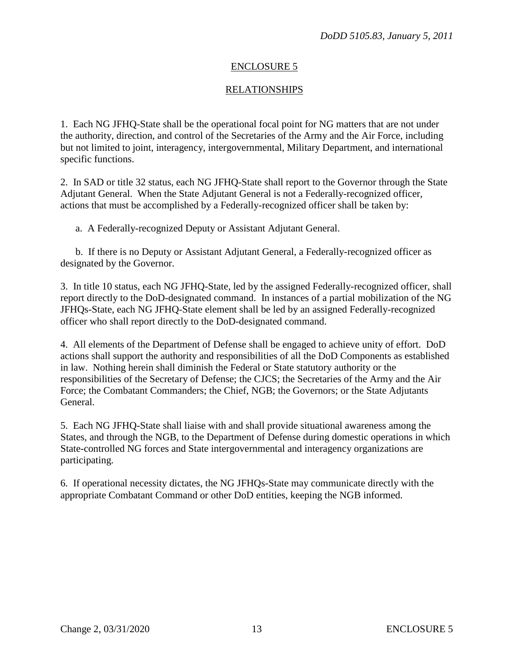# RELATIONSHIPS

1. Each NG JFHQ-State shall be the operational focal point for NG matters that are not under the authority, direction, and control of the Secretaries of the Army and the Air Force, including but not limited to joint, interagency, intergovernmental, Military Department, and international specific functions.

2. In SAD or title 32 status, each NG JFHQ-State shall report to the Governor through the State Adjutant General. When the State Adjutant General is not a Federally-recognized officer, actions that must be accomplished by a Federally-recognized officer shall be taken by:

a. A Federally-recognized Deputy or Assistant Adjutant General.

b. If there is no Deputy or Assistant Adjutant General, a Federally-recognized officer as designated by the Governor.

3. In title 10 status, each NG JFHQ-State, led by the assigned Federally-recognized officer, shall report directly to the DoD-designated command. In instances of a partial mobilization of the NG JFHQs-State, each NG JFHQ-State element shall be led by an assigned Federally-recognized officer who shall report directly to the DoD-designated command.

4. All elements of the Department of Defense shall be engaged to achieve unity of effort. DoD actions shall support the authority and responsibilities of all the DoD Components as established in law. Nothing herein shall diminish the Federal or State statutory authority or the responsibilities of the Secretary of Defense; the CJCS; the Secretaries of the Army and the Air Force; the Combatant Commanders; the Chief, NGB; the Governors; or the State Adjutants General.

5. Each NG JFHQ-State shall liaise with and shall provide situational awareness among the States, and through the NGB, to the Department of Defense during domestic operations in which State-controlled NG forces and State intergovernmental and interagency organizations are participating.

6. If operational necessity dictates, the NG JFHQs-State may communicate directly with the appropriate Combatant Command or other DoD entities, keeping the NGB informed.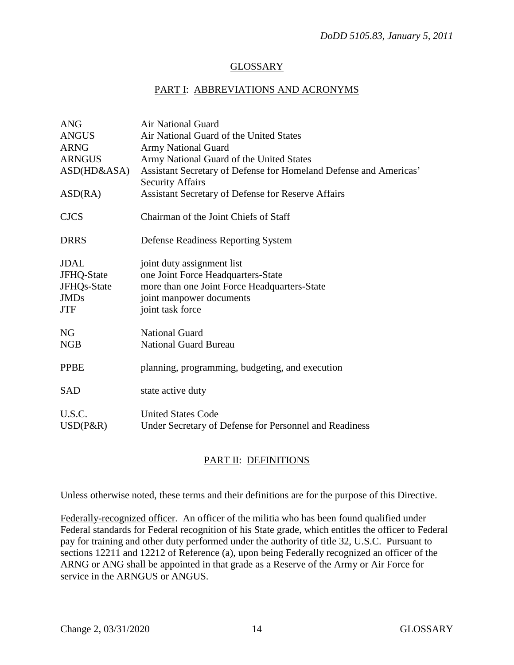### GLOSSARY

### PART I: ABBREVIATIONS AND ACRONYMS

| <b>ANG</b>    | <b>Air National Guard</b>                                                                    |
|---------------|----------------------------------------------------------------------------------------------|
| <b>ANGUS</b>  | Air National Guard of the United States                                                      |
| <b>ARNG</b>   | <b>Army National Guard</b>                                                                   |
| <b>ARNGUS</b> | Army National Guard of the United States                                                     |
| ASD(HD&ASA)   | Assistant Secretary of Defense for Homeland Defense and Americas'<br><b>Security Affairs</b> |
| ASD(RA)       | Assistant Secretary of Defense for Reserve Affairs                                           |
| <b>CJCS</b>   | Chairman of the Joint Chiefs of Staff                                                        |
| <b>DRRS</b>   | Defense Readiness Reporting System                                                           |
| <b>JDAL</b>   | joint duty assignment list                                                                   |
| JFHQ-State    | one Joint Force Headquarters-State                                                           |
| JFHQs-State   | more than one Joint Force Headquarters-State                                                 |
| <b>JMDs</b>   | joint manpower documents                                                                     |
| <b>JTF</b>    | joint task force                                                                             |
| <b>NG</b>     | <b>National Guard</b>                                                                        |
| <b>NGB</b>    | <b>National Guard Bureau</b>                                                                 |
| <b>PPBE</b>   | planning, programming, budgeting, and execution                                              |
| <b>SAD</b>    | state active duty                                                                            |
| U.S.C.        | <b>United States Code</b>                                                                    |
| $USD(P\&R)$   | Under Secretary of Defense for Personnel and Readiness                                       |

## PART II: DEFINITIONS

Unless otherwise noted, these terms and their definitions are for the purpose of this Directive.

Federally-recognized officer. An officer of the militia who has been found qualified under Federal standards for Federal recognition of his State grade, which entitles the officer to Federal pay for training and other duty performed under the authority of title 32, U.S.C. Pursuant to sections 12211 and 12212 of Reference (a), upon being Federally recognized an officer of the ARNG or ANG shall be appointed in that grade as a Reserve of the Army or Air Force for service in the ARNGUS or ANGUS.